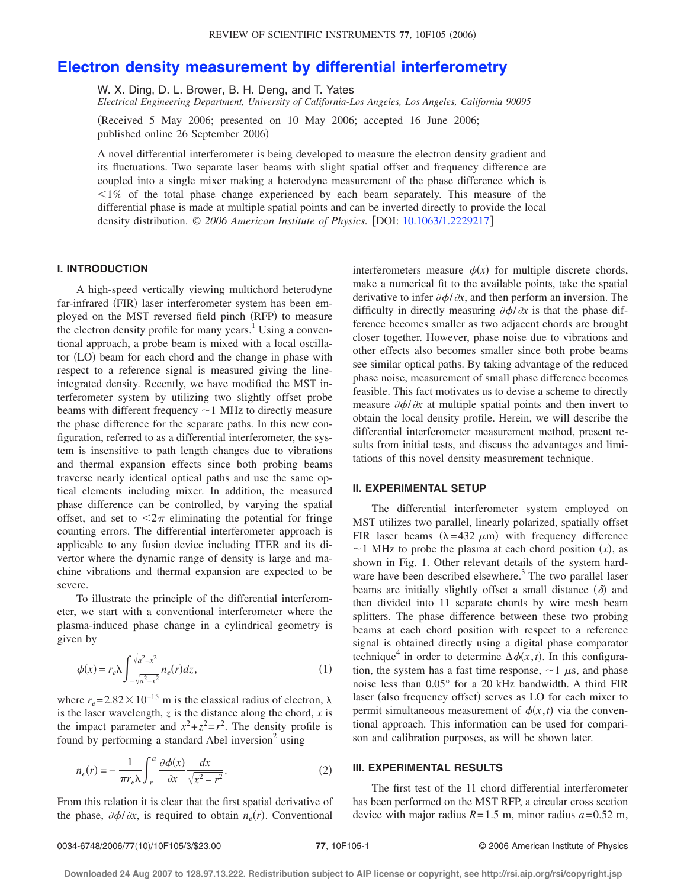# **[Electron density measurement by differential interferometry](http://dx.doi.org/10.1063/1.2229217)**

W. X. Ding, D. L. Brower, B. H. Deng, and T. Yates *Electrical Engineering Department, University of California-Los Angeles, Los Angeles, California 90095*

!Received 5 May 2006; presented on 10 May 2006; accepted 16 June 2006; published online 26 September 2006)

A novel differential interferometer is being developed to measure the electron density gradient and its fluctuations. Two separate laser beams with slight spatial offset and frequency difference are coupled into a single mixer making a heterodyne measurement of the phase difference which is  $\leq$ 1% of the total phase change experienced by each beam separately. This measure of the differential phase is made at multiple spatial points and can be inverted directly to provide the local density distribution.  $\odot$  2006 American Institute of Physics. [DOI: [10.1063/1.2229217](http://dx.doi.org/10.1063/1.2229217)]

## **I. INTRODUCTION**

A high-speed vertically viewing multichord heterodyne far-infrared (FIR) laser interferometer system has been employed on the MST reversed field pinch (RFP) to measure the electron density profile for many years.<sup>1</sup> Using a conventional approach, a probe beam is mixed with a local oscillator (LO) beam for each chord and the change in phase with respect to a reference signal is measured giving the lineintegrated density. Recently, we have modified the MST interferometer system by utilizing two slightly offset probe beams with different frequency  $\sim$  1 MHz to directly measure the phase difference for the separate paths. In this new configuration, referred to as a differential interferometer, the system is insensitive to path length changes due to vibrations and thermal expansion effects since both probing beams traverse nearly identical optical paths and use the same optical elements including mixer. In addition, the measured phase difference can be controlled, by varying the spatial offset, and set to  $\langle 2\pi$  eliminating the potential for fringe counting errors. The differential interferometer approach is applicable to any fusion device including ITER and its divertor where the dynamic range of density is large and machine vibrations and thermal expansion are expected to be severe.

To illustrate the principle of the differential interferometer, we start with a conventional interferometer where the plasma-induced phase change in a cylindrical geometry is given by

$$
\phi(x) = r_e \lambda \int_{-\sqrt{a^2 - x^2}}^{\sqrt{a^2 - x^2}} n_e(r) dz,
$$
\n(1)

where  $r_e = 2.82 \times 10^{-15}$  m is the classical radius of electron,  $\lambda$ is the laser wavelength,  $z$  is the distance along the chord,  $x$  is the impact parameter and  $x^2 + z^2 = r^2$ . The density profile is found by performing a standard Abel inversion<sup>2</sup> using

$$
n_e(r) = -\frac{1}{\pi r_e \lambda} \int_r^a \frac{\partial \phi(x)}{\partial x} \frac{dx}{\sqrt{x^2 - r^2}}.
$$
 (2)

From this relation it is clear that the first spatial derivative of the phase,  $\partial \phi / \partial x$ , is required to obtain  $n_e(r)$ . Conventional interferometers measure  $\phi(x)$  for multiple discrete chords, make a numerical fit to the available points, take the spatial derivative to infer  $\partial \phi / \partial x$ , and then perform an inversion. The difficulty in directly measuring  $\partial \phi / \partial x$  is that the phase difference becomes smaller as two adjacent chords are brought closer together. However, phase noise due to vibrations and other effects also becomes smaller since both probe beams see similar optical paths. By taking advantage of the reduced phase noise, measurement of small phase difference becomes feasible. This fact motivates us to devise a scheme to directly measure  $\partial \phi / \partial x$  at multiple spatial points and then invert to obtain the local density profile. Herein, we will describe the differential interferometer measurement method, present results from initial tests, and discuss the advantages and limitations of this novel density measurement technique.

### **II. EXPERIMENTAL SETUP**

The differential interferometer system employed on MST utilizes two parallel, linearly polarized, spatially offset FIR laser beams  $(\lambda = 432 \mu m)$  with frequency difference  $\sim$  1 MHz to probe the plasma at each chord position  $(x)$ , as shown in Fig. 1. Other relevant details of the system hardware have been described elsewhere.<sup>3</sup> The two parallel laser beams are initially slightly offset a small distance  $(\delta)$  and then divided into 11 separate chords by wire mesh beam splitters. The phase difference between these two probing beams at each chord position with respect to a reference signal is obtained directly using a digital phase comparator technique<sup>4</sup> in order to determine  $\Delta \phi(x,t)$ . In this configuration, the system has a fast time response,  $\sim$  1  $\mu$ s, and phase noise less than 0.05° for a 20 kHz bandwidth. A third FIR laser (also frequency offset) serves as LO for each mixer to permit simultaneous measurement of  $\phi(x,t)$  via the conventional approach. This information can be used for comparison and calibration purposes, as will be shown later.

#### **III. EXPERIMENTAL RESULTS**

The first test of the 11 chord differential interferometer has been performed on the MST RFP, a circular cross section device with major radius  $R = 1.5$  m, minor radius  $a = 0.52$  m,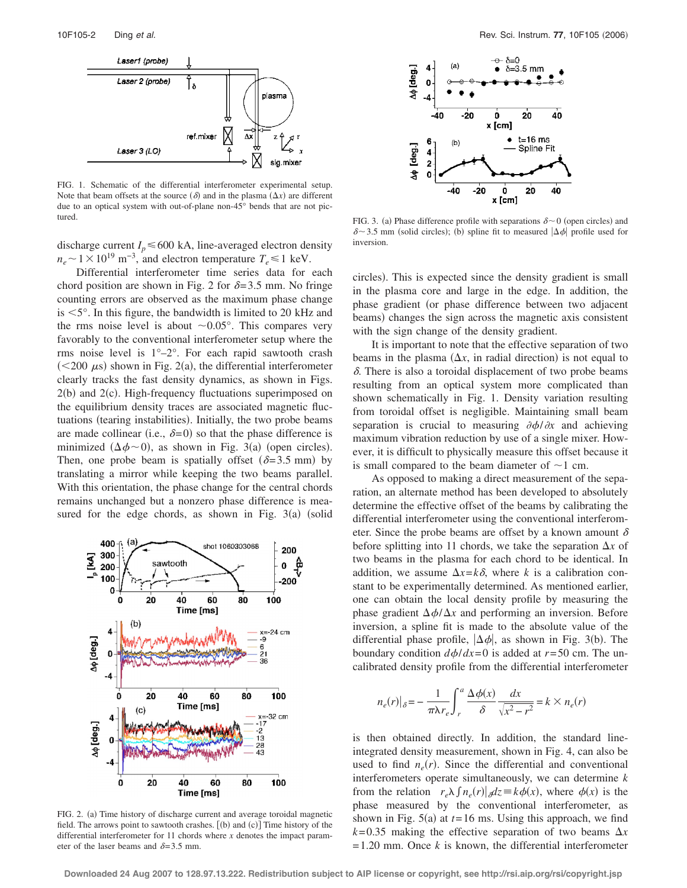

FIG. 1. Schematic of the differential interferometer experimental setup. Note that beam offsets at the source  $(\delta)$  and in the plasma  $(\Delta x)$  are different due to an optical system with out-of-plane non-45° bends that are not pictured.

discharge current  $I_p \le 600$  kA, line-averaged electron density  $n_e \sim 1 \times 10^{19}$  m<sup>-3</sup>, and electron temperature  $T_e \le 1$  keV.

Differential interferometer time series data for each chord position are shown in Fig. 2 for  $\delta = 3.5$  mm. No fringe counting errors are observed as the maximum phase change is  $\leq$ 5°. In this figure, the bandwidth is limited to 20 kHz and the rms noise level is about  $\sim 0.05^{\circ}$ . This compares very favorably to the conventional interferometer setup where the rms noise level is 1°–2°. For each rapid sawtooth crash  $(<200 \mu s$ ) shown in Fig. 2(a), the differential interferometer clearly tracks the fast density dynamics, as shown in Figs.  $2(b)$  and  $2(c)$ . High-frequency fluctuations superimposed on the equilibrium density traces are associated magnetic fluctuations (tearing instabilities). Initially, the two probe beams are made collinear (i.e.,  $\delta = 0$ ) so that the phase difference is minimized  $(\Delta \phi \sim 0)$ , as shown in Fig. 3(a) (open circles). Then, one probe beam is spatially offset  $(\delta = 3.5 \text{ mm})$  by translating a mirror while keeping the two beams parallel. With this orientation, the phase change for the central chords remains unchanged but a nonzero phase difference is measured for the edge chords, as shown in Fig.  $3(a)$  (solid



FIG. 2. (a) Time history of discharge current and average toroidal magnetic field. The arrows point to sawtooth crashes.  $[(b)$  and  $(c)]$  Time history of the differential interferometer for 11 chords where *x* denotes the impact parameter of the laser beams and  $\delta = 3.5$  mm.



FIG. 3. (a) Phase difference profile with separations  $\delta \sim 0$  (open circles) and  $\delta$   $\sim$  3.5 mm (solid circles); (b) spline fit to measured  $|\Delta \phi|$  profile used for inversion.

circles). This is expected since the density gradient is small in the plasma core and large in the edge. In addition, the phase gradient (or phase difference between two adjacent beams) changes the sign across the magnetic axis consistent with the sign change of the density gradient.

It is important to note that the effective separation of two beams in the plasma  $(\Delta x)$ , in radial direction) is not equal to  $\delta$ . There is also a toroidal displacement of two probe beams resulting from an optical system more complicated than shown schematically in Fig. 1. Density variation resulting from toroidal offset is negligible. Maintaining small beam separation is crucial to measuring  $\partial \phi / \partial x$  and achieving maximum vibration reduction by use of a single mixer. However, it is difficult to physically measure this offset because it is small compared to the beam diameter of  $\sim$ 1 cm.

As opposed to making a direct measurement of the separation, an alternate method has been developed to absolutely determine the effective offset of the beams by calibrating the differential interferometer using the conventional interferometer. Since the probe beams are offset by a known amount  $\delta$ before splitting into 11 chords, we take the separation  $\Delta x$  of two beams in the plasma for each chord to be identical. In addition, we assume  $\Delta x = k\delta$ , where *k* is a calibration constant to be experimentally determined. As mentioned earlier, one can obtain the local density profile by measuring the phase gradient  $\Delta \phi / \Delta x$  and performing an inversion. Before inversion, a spline fit is made to the absolute value of the differential phase profile,  $|\Delta \phi|$ , as shown in Fig. 3(b). The boundary condition  $d\phi/dx = 0$  is added at  $r = 50$  cm. The uncalibrated density profile from the differential interferometer

$$
n_e(r)|_{\delta} = -\frac{1}{\pi \lambda r_e} \int_r^a \frac{\Delta \phi(x)}{\delta} \frac{dx}{\sqrt{x^2 - r^2}} = k \times n_e(r)
$$

is then obtained directly. In addition, the standard lineintegrated density measurement, shown in Fig. 4, can also be used to find  $n_e(r)$ . Since the differential and conventional interferometers operate simultaneously, we can determine *k* from the relation  $r_e \lambda \int n_e(r) \vert \, dz \equiv k \phi(x)$ , where  $\phi(x)$  is the phase measured by the conventional interferometer, as shown in Fig.  $5(a)$  at  $t=16$  ms. Using this approach, we find  $k = 0.35$  making the effective separation of two beams  $\Delta x$  $= 1.20$  mm. Once *k* is known, the differential interferometer

**Downloaded 24 Aug 2007 to 128.97.13.222. Redistribution subject to AIP license or copyright, see http://rsi.aip.org/rsi/copyright.jsp**